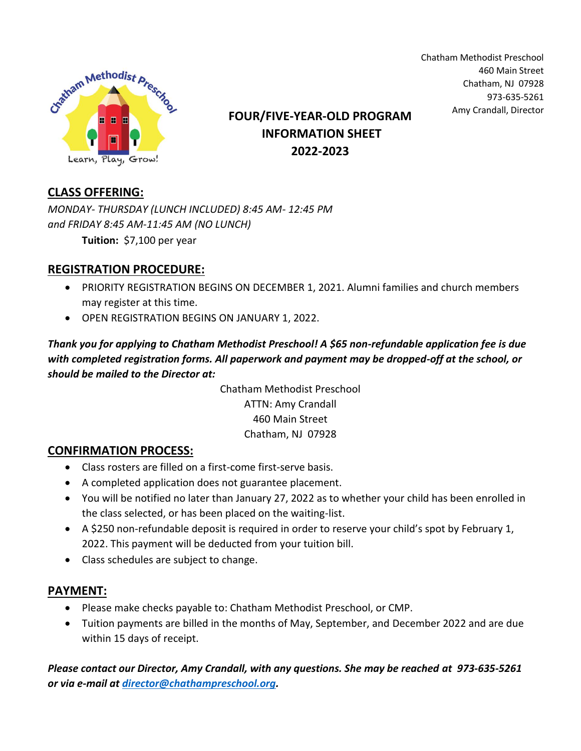

Chatham Methodist Preschool 460 Main Street Chatham, NJ 07928 973-635-5261

# Amy Crandall, Director **FOUR/FIVE-YEAR-OLD PROGRAM INFORMATION SHEET 2022-2023**

## **CLASS OFFERING:**

*MONDAY- THURSDAY (LUNCH INCLUDED) 8:45 AM- 12:45 PM and FRIDAY 8:45 AM-11:45 AM (NO LUNCH)*

**Tuition:** \$7,100 per year

## **REGISTRATION PROCEDURE:**

- PRIORITY REGISTRATION BEGINS ON DECEMBER 1, 2021. Alumni families and church members may register at this time.
- OPEN REGISTRATION BEGINS ON JANUARY 1, 2022.

### *Thank you for applying to Chatham Methodist Preschool! A \$65 non-refundable application fee is due with completed registration forms. All paperwork and payment may be dropped-off at the school, or should be mailed to the Director at:*

Chatham Methodist Preschool ATTN: Amy Crandall 460 Main Street Chatham, NJ 07928

#### **CONFIRMATION PROCESS:**

- Class rosters are filled on a first-come first-serve basis.
- A completed application does not guarantee placement.
- You will be notified no later than January 27, 2022 as to whether your child has been enrolled in the class selected, or has been placed on the waiting-list.
- A \$250 non-refundable deposit is required in order to reserve your child's spot by February 1, 2022. This payment will be deducted from your tuition bill.
- Class schedules are subject to change.

#### **PAYMENT:**

- Please make checks payable to: Chatham Methodist Preschool, or CMP.
- Tuition payments are billed in the months of May, September, and December 2022 and are due within 15 days of receipt.

*Please contact our Director, Amy Crandall, with any questions. She may be reached at 973-635-5261 or via e-mail at [director@chathampreschool.org.](mailto:director@chathampreschool.org)*